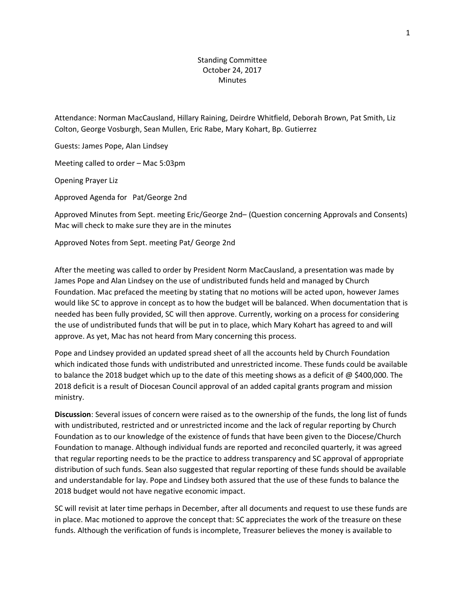# Standing Committee October 24, 2017 **Minutes**

Attendance: Norman MacCausland, Hillary Raining, Deirdre Whitfield, Deborah Brown, Pat Smith, Liz Colton, George Vosburgh, Sean Mullen, Eric Rabe, Mary Kohart, Bp. Gutierrez

Guests: James Pope, Alan Lindsey

Meeting called to order – Mac 5:03pm

Opening Prayer Liz

Approved Agenda for Pat/George 2nd

Approved Minutes from Sept. meeting Eric/George 2nd– (Question concerning Approvals and Consents) Mac will check to make sure they are in the minutes

Approved Notes from Sept. meeting Pat/ George 2nd

After the meeting was called to order by President Norm MacCausland, a presentation was made by James Pope and Alan Lindsey on the use of undistributed funds held and managed by Church Foundation. Mac prefaced the meeting by stating that no motions will be acted upon, however James would like SC to approve in concept as to how the budget will be balanced. When documentation that is needed has been fully provided, SC will then approve. Currently, working on a process for considering the use of undistributed funds that will be put in to place, which Mary Kohart has agreed to and will approve. As yet, Mac has not heard from Mary concerning this process.

Pope and Lindsey provided an updated spread sheet of all the accounts held by Church Foundation which indicated those funds with undistributed and unrestricted income. These funds could be available to balance the 2018 budget which up to the date of this meeting shows as a deficit of  $\omega$  \$400,000. The 2018 deficit is a result of Diocesan Council approval of an added capital grants program and mission ministry.

**Discussion**: Several issues of concern were raised as to the ownership of the funds, the long list of funds with undistributed, restricted and or unrestricted income and the lack of regular reporting by Church Foundation as to our knowledge of the existence of funds that have been given to the Diocese/Church Foundation to manage. Although individual funds are reported and reconciled quarterly, it was agreed that regular reporting needs to be the practice to address transparency and SC approval of appropriate distribution of such funds. Sean also suggested that regular reporting of these funds should be available and understandable for lay. Pope and Lindsey both assured that the use of these funds to balance the 2018 budget would not have negative economic impact.

SC will revisit at later time perhaps in December, after all documents and request to use these funds are in place. Mac motioned to approve the concept that: SC appreciates the work of the treasure on these funds. Although the verification of funds is incomplete, Treasurer believes the money is available to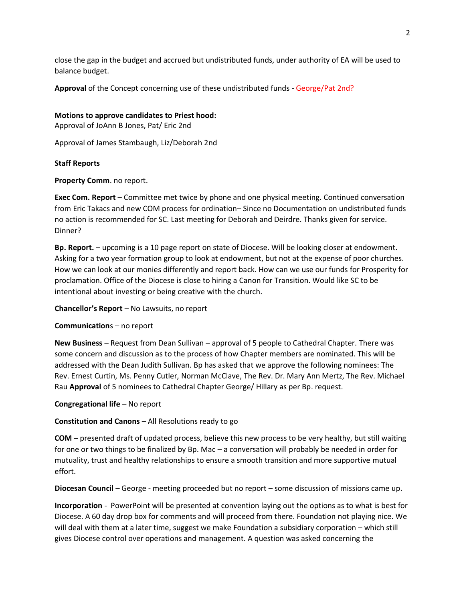close the gap in the budget and accrued but undistributed funds, under authority of EA will be used to balance budget.

**Approval** of the Concept concerning use of these undistributed funds - George/Pat 2nd?

## **Motions to approve candidates to Priest hood:**

Approval of JoAnn B Jones, Pat/ Eric 2nd

Approval of James Stambaugh, Liz/Deborah 2nd

## **Staff Reports**

**Property Comm**. no report.

**Exec Com. Report** – Committee met twice by phone and one physical meeting. Continued conversation from Eric Takacs and new COM process for ordination– Since no Documentation on undistributed funds no action is recommended for SC. Last meeting for Deborah and Deirdre. Thanks given for service. Dinner?

**Bp. Report.** – upcoming is a 10 page report on state of Diocese. Will be looking closer at endowment. Asking for a two year formation group to look at endowment, but not at the expense of poor churches. How we can look at our monies differently and report back. How can we use our funds for Prosperity for proclamation. Office of the Diocese is close to hiring a Canon for Transition. Would like SC to be intentional about investing or being creative with the church.

**Chancellor's Report** – No Lawsuits, no report

#### **Communication**s – no report

**New Business** – Request from Dean Sullivan – approval of 5 people to Cathedral Chapter. There was some concern and discussion as to the process of how Chapter members are nominated. This will be addressed with the Dean Judith Sullivan. Bp has asked that we approve the following nominees: The Rev. Ernest Curtin, Ms. Penny Cutler, Norman McClave, The Rev. Dr. Mary Ann Mertz, The Rev. Michael Rau **Approval** of 5 nominees to Cathedral Chapter George/ Hillary as per Bp. request.

#### **Congregational life** – No report

# **Constitution and Canons** – All Resolutions ready to go

**COM** – presented draft of updated process, believe this new process to be very healthy, but still waiting for one or two things to be finalized by Bp. Mac – a conversation will probably be needed in order for mutuality, trust and healthy relationships to ensure a smooth transition and more supportive mutual effort.

**Diocesan Council** – George - meeting proceeded but no report – some discussion of missions came up.

**Incorporation** - PowerPoint will be presented at convention laying out the options as to what is best for Diocese. A 60 day drop box for comments and will proceed from there. Foundation not playing nice. We will deal with them at a later time, suggest we make Foundation a subsidiary corporation – which still gives Diocese control over operations and management. A question was asked concerning the